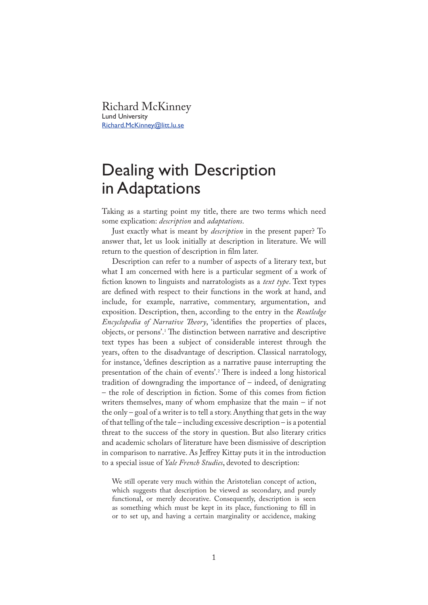Richard McKinney Lund University Richard.McKinney@litt.lu.se

## Dealing with Description in Adaptations

Taking as a starting point my title, there are two terms which need some explication: *description* and *adaptations*.

Just exactly what is meant by *description* in the present paper? To answer that, let us look initially at description in literature. We will return to the question of description in film later.

Description can refer to a number of aspects of a literary text, but what I am concerned with here is a particular segment of a work of �ction known to linguists and narratologists as a *text type*. Text types are defined with respect to their functions in the work at hand, and include, for example, narrative, commentary, argumentation, and exposition. Description, then, according to the entry in the *Routledge Encyclopedia of Narrative Theory*, 'identifies the properties of places, objects, or persons'.<sup>1</sup> �e distinction between narrative and descriptive text types has been a subject of considerable interest through the years, often to the disadvantage of description. Classical narratology, for instance, 'defines description as a narrative pause interrupting the presentation of the chain of events'.<sup>2</sup> There is indeed a long historical tradition of downgrading the importance of – indeed, of denigrating – the role of description in �ction. Some of this comes from �ction writers themselves, many of whom emphasize that the main – if not the only – goal of a writer is to tell a story. Anything that gets in the way of that telling of the tale – including excessive description – is a potential threat to the success of the story in question. But also literary critics and academic scholars of literature have been dismissive of description in comparison to narrative. As Jeffrey Kittay puts it in the introduction to a special issue of *Yale French Studies*, devoted to description:

We still operate very much within the Aristotelian concept of action, which suggests that description be viewed as secondary, and purely functional, or merely decorative. Consequently, description is seen as something which must be kept in its place, functioning to fill in or to set up, and having a certain marginality or accidence, making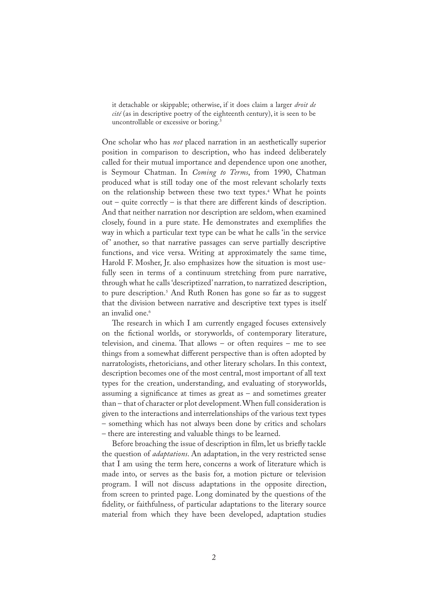it detachable or skippable; otherwise, if it does claim a larger *droit de cité* (as in descriptive poetry of the eighteenth century), it is seen to be uncontrollable or excessive or boring.<sup>3</sup>

One scholar who has *not* placed narration in an aesthetically superior position in comparison to description, who has indeed deliberately called for their mutual importance and dependence upon one another, is Seymour Chatman. In *Coming to Terms*, from 1990, Chatman produced what is still today one of the most relevant scholarly texts on the relationship between these two text types.<sup>4</sup> What he points out – quite correctly – is that there are different kinds of description. And that neither narration nor description are seldom, when examined closely, found in a pure state. He demonstrates and exemplifies the way in which a particular text type can be what he calls 'in the service of' another, so that narrative passages can serve partially descriptive functions, and vice versa. Writing at approximately the same time, Harold F. Mosher, Jr. also emphasizes how the situation is most usefully seen in terms of a continuum stretching from pure narrative, through what he calls 'descriptized' narration, to narratized description, to pure description.<sup>5</sup> And Ruth Ronen has gone so far as to suggest that the division between narrative and descriptive text types is itself an invalid one.<sup>6</sup>

The research in which I am currently engaged focuses extensively on the fictional worlds, or storyworlds, of contemporary literature, television, and cinema. That allows  $-$  or often requires  $-$  me to see things from a somewhat different perspective than is often adopted by narratologists, rhetoricians, and other literary scholars. In this context, description becomes one of the most central, most important of all text types for the creation, understanding, and evaluating of storyworlds, assuming a significance at times as great as  $-$  and sometimes greater than – that of character or plot development. When full consideration is given to the interactions and interrelationships of the various text types – something which has not always been done by critics and scholars – there are interesting and valuable things to be learned.

Before broaching the issue of description in film, let us briefly tackle the question of *adaptations*. An adaptation, in the very restricted sense that I am using the term here, concerns a work of literature which is made into, or serves as the basis for, a motion picture or television program. I will not discuss adaptations in the opposite direction, from screen to printed page. Long dominated by the questions of the fidelity, or faithfulness, of particular adaptations to the literary source material from which they have been developed, adaptation studies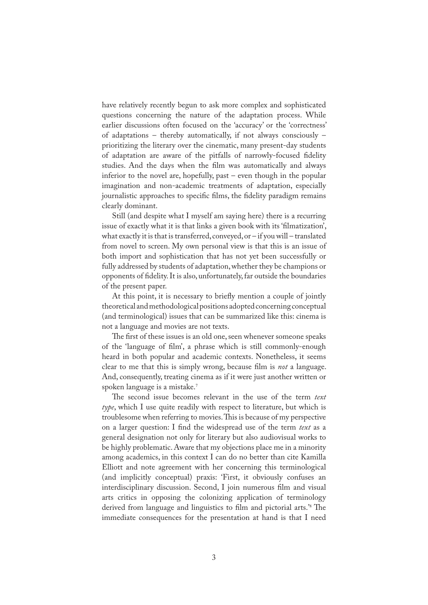have relatively recently begun to ask more complex and sophisticated questions concerning the nature of the adaptation process. While earlier discussions often focused on the 'accuracy' or the 'correctness' of adaptations – thereby automatically, if not always consciously – prioritizing the literary over the cinematic, many present-day students of adaptation are aware of the pitfalls of narrowly-focused fidelity studies. And the days when the film was automatically and always inferior to the novel are, hopefully, past – even though in the popular imagination and non-academic treatments of adaptation, especially journalistic approaches to specific films, the fidelity paradigm remains clearly dominant.

Still (and despite what I myself am saying here) there is a recurring issue of exactly what it is that links a given book with its 'filmatization', what exactly it is that is transferred, conveyed, or – if you will – translated from novel to screen. My own personal view is that this is an issue of both import and sophistication that has not yet been successfully or fully addressed by students of adaptation, whether they be champions or opponents of �delity. It is also, unfortunately, far outside the boundaries of the present paper.

At this point, it is necessary to briefly mention a couple of jointly theoretical and methodological positions adopted concerning conceptual (and terminological) issues that can be summarized like this: cinema is not a language and movies are not texts.

The first of these issues is an old one, seen whenever someone speaks of the 'language of �lm', a phrase which is still commonly-enough heard in both popular and academic contexts. Nonetheless, it seems clear to me that this is simply wrong, because �lm is *not* a language. And, consequently, treating cinema as if it were just another written or spoken language is a mistake.<sup>7</sup>

�e second issue becomes relevant in the use of the term *text type*, which I use quite readily with respect to literature, but which is troublesome when referring to movies. This is because of my perspective on a larger question: I find the widespread use of the term *text* as a general designation not only for literary but also audiovisual works to be highly problematic. Aware that my objections place me in a minority among academics, in this context I can do no better than cite Kamilla Elliott and note agreement with her concerning this terminological (and implicitly conceptual) praxis: 'First, it obviously confuses an interdisciplinary discussion. Second, I join numerous film and visual arts critics in opposing the colonizing application of terminology derived from language and linguistics to film and pictorial arts.<sup>'8</sup> The immediate consequences for the presentation at hand is that I need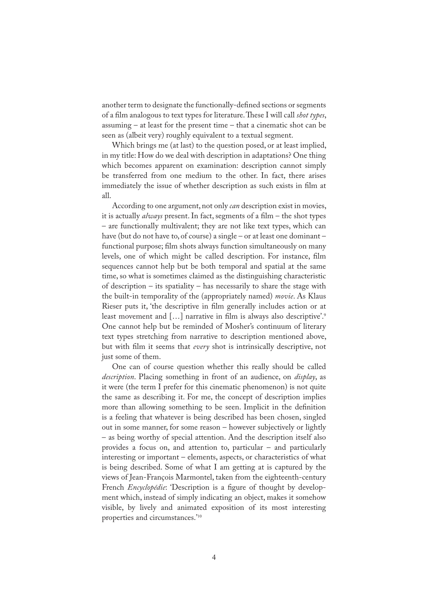another term to designate the functionally-defined sections or segments of a film analogous to text types for literature. These I will call *shot types*, assuming – at least for the present time – that a cinematic shot can be seen as (albeit very) roughly equivalent to a textual segment.

Which brings me (at last) to the question posed, or at least implied, in my title: How do we deal with description in adaptations? One thing which becomes apparent on examination: description cannot simply be transferred from one medium to the other. In fact, there arises immediately the issue of whether description as such exists in film at all.

According to one argument, not only *can* description exist in movies, it is actually *always* present. In fact, segments of a film – the shot types – are functionally multivalent; they are not like text types, which can have (but do not have to, of course) a single – or at least one dominant – functional purpose; �lm shots always function simultaneously on many levels, one of which might be called description. For instance, �lm sequences cannot help but be both temporal and spatial at the same time, so what is sometimes claimed as the distinguishing characteristic of description – its spatiality – has necessarily to share the stage with the built-in temporality of the (appropriately named) *movie*. As Klaus Rieser puts it, 'the descriptive in film generally includes action or at least movement and [...] narrative in film is always also descriptive'.<sup>9</sup> One cannot help but be reminded of Mosher's continuum of literary text types stretching from narrative to description mentioned above, but with �lm it seems that *every* shot is intrinsically descriptive, not just some of them.

One can of course question whether this really should be called *description*. Placing something in front of an audience, on *display*, as it were (the term I prefer for this cinematic phenomenon) is not quite the same as describing it. For me, the concept of description implies more than allowing something to be seen. Implicit in the definition is a feeling that whatever is being described has been chosen, singled out in some manner, for some reason – however subjectively or lightly – as being worthy of special attention. And the description itself also provides a focus on, and attention to, particular – and particularly interesting or important – elements, aspects, or characteristics of what is being described. Some of what I am getting at is captured by the views of Jean-François Marmontel, taken from the eighteenth-century French *Encyclopédie*: 'Description is a figure of thought by development which, instead of simply indicating an object, makes it somehow visible, by lively and animated exposition of its most interesting properties and circumstances.'<sup>10</sup>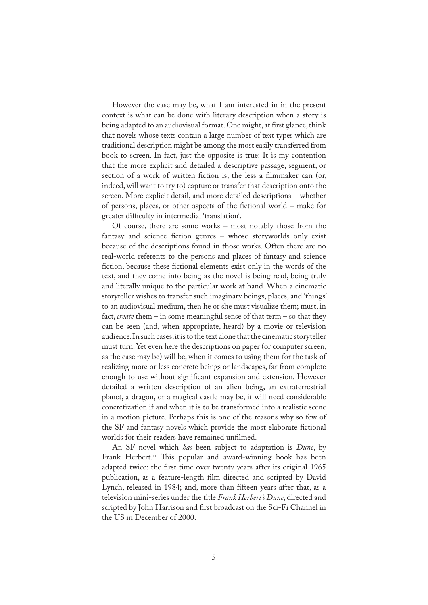However the case may be, what I am interested in in the present context is what can be done with literary description when a story is being adapted to an audiovisual format. One might, at first glance, think that novels whose texts contain a large number of text types which are traditional description might be among the most easily transferred from book to screen. In fact, just the opposite is true: It is my contention that the more explicit and detailed a descriptive passage, segment, or section of a work of written fiction is, the less a filmmaker can (or, indeed, will want to try to) capture or transfer that description onto the screen. More explicit detail, and more detailed descriptions – whether of persons, places, or other aspects of the fictional world – make for greater difficulty in intermedial 'translation'.

Of course, there are some works – most notably those from the fantasy and science fiction genres – whose storyworlds only exist because of the descriptions found in those works. Often there are no real-world referents to the persons and places of fantasy and science fiction, because these fictional elements exist only in the words of the text, and they come into being as the novel is being read, being truly and literally unique to the particular work at hand. When a cinematic storyteller wishes to transfer such imaginary beings, places, and 'things' to an audiovisual medium, then he or she must visualize them; must, in fact, *create* them – in some meaningful sense of that term – so that they can be seen (and, when appropriate, heard) by a movie or television audience. In such cases, it is to the text alone that the cinematic storyteller must turn. Yet even here the descriptions on paper (or computer screen, as the case may be) will be, when it comes to using them for the task of realizing more or less concrete beings or landscapes, far from complete enough to use without significant expansion and extension. However detailed a written description of an alien being, an extraterrestrial planet, a dragon, or a magical castle may be, it will need considerable concretization if and when it is to be transformed into a realistic scene in a motion picture. Perhaps this is one of the reasons why so few of the SF and fantasy novels which provide the most elaborate fictional worlds for their readers have remained unfilmed.

An SF novel which *has* been subject to adaptation is *Dune*, by Frank Herbert.<sup>11</sup> This popular and award-winning book has been adapted twice: the first time over twenty years after its original 1965 publication, as a feature-length film directed and scripted by David Lynch, released in 1984; and, more than fifteen years after that, as a television mini-series under the title *Frank Herbert's Dune*, directed and scripted by John Harrison and first broadcast on the Sci-Fi Channel in the US in December of 2000.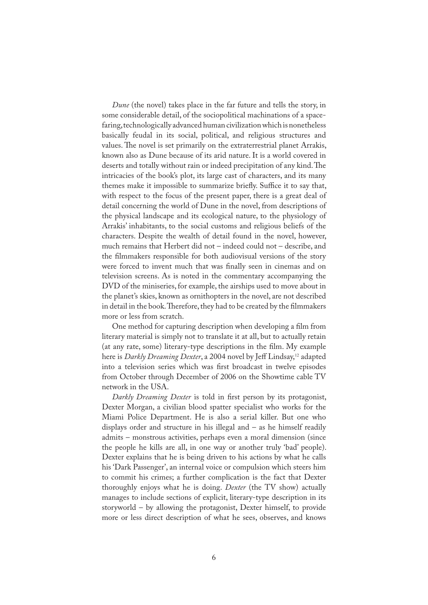*Dune* (the novel) takes place in the far future and tells the story, in some considerable detail, of the sociopolitical machinations of a spacefaring, technologically advanced human civilization which is nonetheless basically feudal in its social, political, and religious structures and values. The novel is set primarily on the extraterrestrial planet Arrakis, known also as Dune because of its arid nature. It is a world covered in deserts and totally without rain or indeed precipitation of any kind. The intricacies of the book's plot, its large cast of characters, and its many themes make it impossible to summarize briefly. Suffice it to say that, with respect to the focus of the present paper, there is a great deal of detail concerning the world of Dune in the novel, from descriptions of the physical landscape and its ecological nature, to the physiology of Arrakis' inhabitants, to the social customs and religious beliefs of the characters. Despite the wealth of detail found in the novel, however, much remains that Herbert did not – indeed could not – describe, and the filmmakers responsible for both audiovisual versions of the story were forced to invent much that was finally seen in cinemas and on television screens. As is noted in the commentary accompanying the DVD of the miniseries, for example, the airships used to move about in the planet's skies, known as ornithopters in the novel, are not described in detail in the book. Therefore, they had to be created by the filmmakers more or less from scratch.

One method for capturing description when developing a �lm from literary material is simply not to translate it at all, but to actually retain (at any rate, some) literary-type descriptions in the film. My example here is *Darkly Dreaming Dexter*, a 2004 novel by Jeff Lindsay,<sup>12</sup> adapted into a television series which was first broadcast in twelve episodes from October through December of 2006 on the Showtime cable TV network in the USA.

*Darkly Dreaming Dexter* is told in first person by its protagonist, Dexter Morgan, a civilian blood spatter specialist who works for the Miami Police Department. He is also a serial killer. But one who displays order and structure in his illegal and – as he himself readily admits – monstrous activities, perhaps even a moral dimension (since the people he kills are all, in one way or another truly 'bad' people). Dexter explains that he is being driven to his actions by what he calls his 'Dark Passenger', an internal voice or compulsion which steers him to commit his crimes; a further complication is the fact that Dexter thoroughly enjoys what he is doing. *Dexter* (the TV show) actually manages to include sections of explicit, literary-type description in its storyworld – by allowing the protagonist, Dexter himself, to provide more or less direct description of what he sees, observes, and knows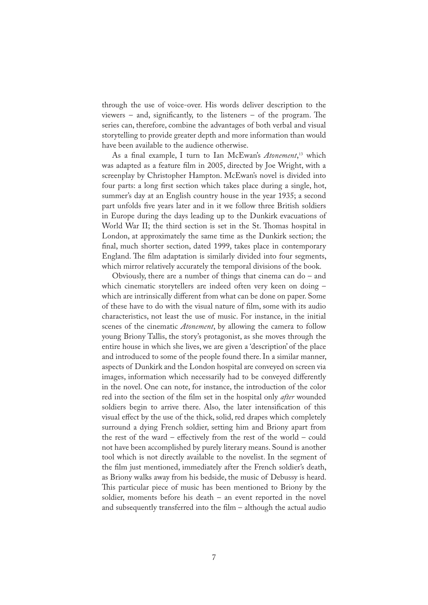through the use of voice-over. His words deliver description to the viewers – and, significantly, to the listeners – of the program. The series can, therefore, combine the advantages of both verbal and visual storytelling to provide greater depth and more information than would have been available to the audience otherwise.

As a �nal example, I turn to Ian McEwan's *Atonement*, <sup>13</sup> which was adapted as a feature film in 2005, directed by Joe Wright, with a screenplay by Christopher Hampton. McEwan's novel is divided into four parts: a long first section which takes place during a single, hot, summer's day at an English country house in the year 1935; a second part unfolds five years later and in it we follow three British soldiers in Europe during the days leading up to the Dunkirk evacuations of World War II; the third section is set in the St. Thomas hospital in London, at approximately the same time as the Dunkirk section; the final, much shorter section, dated 1999, takes place in contemporary England. The film adaptation is similarly divided into four segments, which mirror relatively accurately the temporal divisions of the book.

Obviously, there are a number of things that cinema can do – and which cinematic storytellers are indeed often very keen on doing – which are intrinsically different from what can be done on paper. Some of these have to do with the visual nature of �lm, some with its audio characteristics, not least the use of music. For instance, in the initial scenes of the cinematic *Atonement*, by allowing the camera to follow young Briony Tallis, the story's protagonist, as she moves through the entire house in which she lives, we are given a 'description' of the place and introduced to some of the people found there. In a similar manner, aspects of Dunkirk and the London hospital are conveyed on screen via images, information which necessarily had to be conveyed differently in the novel. One can note, for instance, the introduction of the color red into the section of the �lm set in the hospital only *after* wounded soldiers begin to arrive there. Also, the later intensification of this visual effect by the use of the thick, solid, red drapes which completely surround a dying French soldier, setting him and Briony apart from the rest of the ward – effectively from the rest of the world – could not have been accomplished by purely literary means. Sound is another tool which is not directly available to the novelist. In the segment of the film just mentioned, immediately after the French soldier's death, as Briony walks away from his bedside, the music of Debussy is heard. This particular piece of music has been mentioned to Briony by the soldier, moments before his death – an event reported in the novel and subsequently transferred into the  $film - although$  the actual audio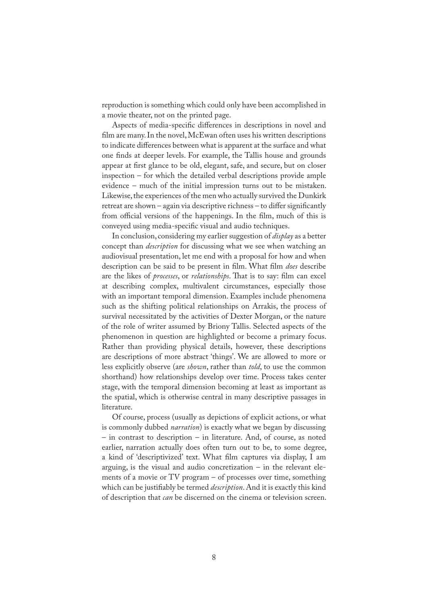reproduction is something which could only have been accomplished in a movie theater, not on the printed page.

Aspects of media-specific differences in descriptions in novel and film are many. In the novel, McEwan often uses his written descriptions to indicate differences between what is apparent at the surface and what one �nds at deeper levels. For example, the Tallis house and grounds appear at first glance to be old, elegant, safe, and secure, but on closer inspection – for which the detailed verbal descriptions provide ample evidence – much of the initial impression turns out to be mistaken. Likewise, the experiences of the men who actually survived the Dunkirk retreat are shown – again via descriptive richness – to differ significantly from official versions of the happenings. In the film, much of this is conveyed using media-speci�c visual and audio techniques.

In conclusion, considering my earlier suggestion of *display* as a better concept than *description* for discussing what we see when watching an audiovisual presentation, let me end with a proposal for how and when description can be said to be present in film. What film *does* describe are the likes of *processes*, or *relationships*. That is to say: film can excel at describing complex, multivalent circumstances, especially those with an important temporal dimension. Examples include phenomena such as the shifting political relationships on Arrakis, the process of survival necessitated by the activities of Dexter Morgan, or the nature of the role of writer assumed by Briony Tallis. Selected aspects of the phenomenon in question are highlighted or become a primary focus. Rather than providing physical details, however, these descriptions are descriptions of more abstract 'things'. We are allowed to more or less explicitly observe (are *shown*, rather than *told*, to use the common shorthand) how relationships develop over time. Process takes center stage, with the temporal dimension becoming at least as important as the spatial, which is otherwise central in many descriptive passages in literature.

Of course, process (usually as depictions of explicit actions, or what is commonly dubbed *narration*) is exactly what we began by discussing – in contrast to description – in literature. And, of course, as noted earlier, narration actually does often turn out to be, to some degree, a kind of 'descriptivized' text. What film captures via display, I am arguing, is the visual and audio concretization – in the relevant elements of a movie or TV program – of processes over time, something which can be justifiably be termed *description*. And it is exactly this kind of description that *can* be discerned on the cinema or television screen.